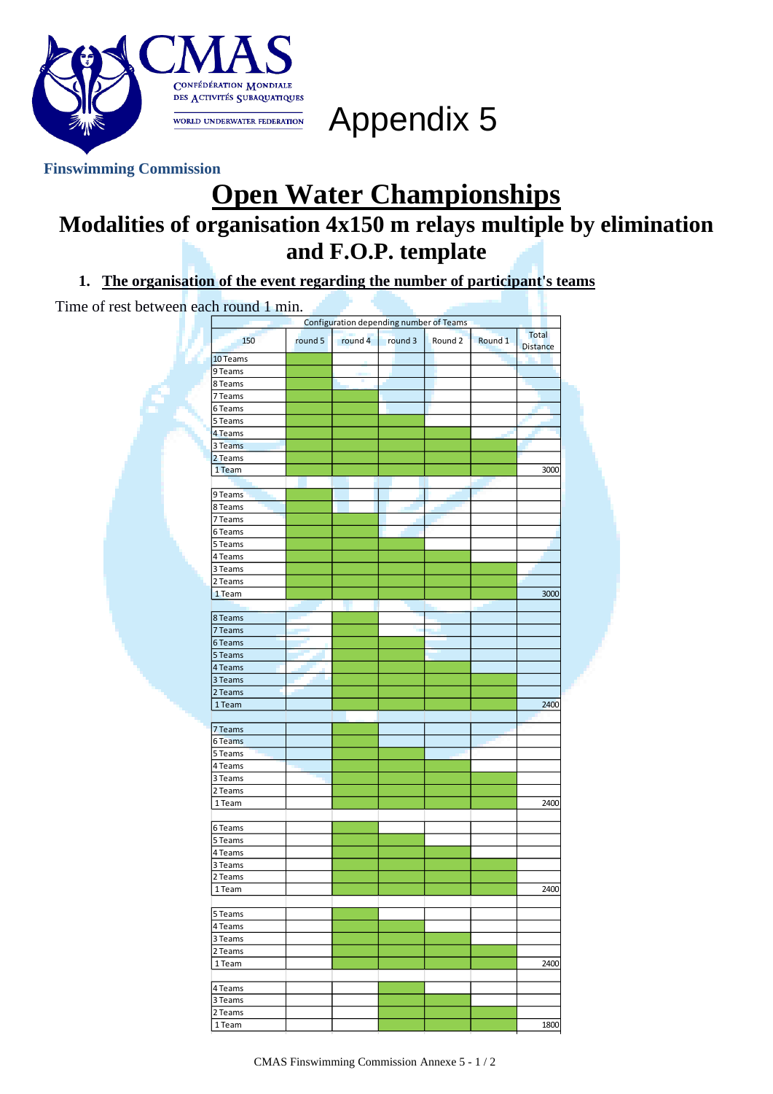

Appendix 5

## **Finswimming Commission**

## **Open Water Championships Modalities of organisation 4x150 m relays multiple by elimination and F.O.P. template**

**1. The organisation of the event regarding the number of participant's teams**

Time of rest between each round 1 min. 150 round 5 round 4 round 3 Round 2 Round 1 Total **Distance** 10 Teams 9 Teams 8 Teams 7 Teams 6 Teams 5 Teams 4 Teams 3 Teams 2 Teams 1 Team 3000 9 Teams 8 Teams 7 Teams 6 Teams 5 Teams 4 Teams 3 Teams 2 Teams 1 Team 2000 | 2000 | 2000 | 2000 | 2000 | 2000 | 2000 | 2000 | 2000 | 2000 | 2000 | 2000 | 2000 | 20 8 Teams 7 Teams 6 Teams 5 Teams 4 Teams 3 Teams 2 Teams 1 Team 2400 7 Teams 6 Teams 5 Teams 4 Teams 3 Teams 2 Teams 1 Team 2400 6 Teams 5 Teams 4 Teams 3 Teams 2 Teams 1 Team 2400 | 2400 | 250 | 250 | 250 | 250 | 250 | 250 | 250 | 250 | 250 | 250 | 250 | 250 | 250 | 250 | 250 | 5 Teams 4 Teams 3 Teams 2 Teams 1 Team 2400 4 Teams Configuration depending number of Teams

3 Teams 2 Teams

1 Team 1800 | 1800 | 1800 | 1800 | 1800 | 1800 | 1800 | 1800 | 1800 | 1800 | 1800 | 1800 | 1800 | 1800 | 1800